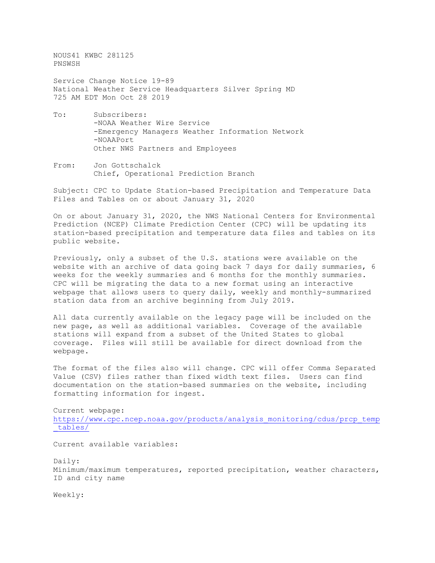NOUS41 KWBC 281125 PNSWSH

Service Change Notice 19-89 National Weather Service Headquarters Silver Spring MD 725 AM EDT Mon Oct 28 2019

- To: Subscribers: -NOAA Weather Wire Service -Emergency Managers Weather Information Network -NOAAPort Other NWS Partners and Employees
- From: Jon Gottschalck Chief, Operational Prediction Branch

Subject: CPC to Update Station-based Precipitation and Temperature Data Files and Tables on or about January 31, 2020

On or about January 31, 2020, the NWS National Centers for Environmental Prediction (NCEP) Climate Prediction Center (CPC) will be updating its station-based precipitation and temperature data files and tables on its public website.

Previously, only a subset of the U.S. stations were available on the website with an archive of data going back 7 days for daily summaries, 6 weeks for the weekly summaries and 6 months for the monthly summaries. CPC will be migrating the data to a new format using an interactive webpage that allows users to query daily, weekly and monthly-summarized station data from an archive beginning from July 2019.

All data currently available on the legacy page will be included on the new page, as well as additional variables. Coverage of the available stations will expand from a subset of the United States to global coverage. Files will still be available for direct download from the webpage.

The format of the files also will change. CPC will offer Comma Separated Value (CSV) files rather than fixed width text files. Users can find documentation on the station-based summaries on the website, including formatting information for ingest.

Current webpage: [https://www.cpc.ncep.noaa.gov/products/analysis\\_monitoring/cdus/prcp\\_temp](https://www.cpc.ncep.noaa.gov/products/analysis_monitoring/cdus/prcp_temp_tables/) [\\_tables/](https://www.cpc.ncep.noaa.gov/products/analysis_monitoring/cdus/prcp_temp_tables/)

Current available variables:

Daily: Minimum/maximum temperatures, reported precipitation, weather characters, ID and city name

Weekly: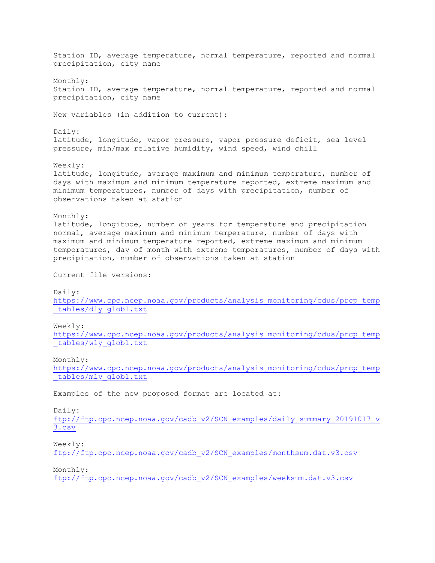Station ID, average temperature, normal temperature, reported and normal precipitation, city name Monthly: Station ID, average temperature, normal temperature, reported and normal precipitation, city name New variables (in addition to current): Daily: latitude, longitude, vapor pressure, vapor pressure deficit, sea level pressure, min/max relative humidity, wind speed, wind chill Weekly: latitude, longitude, average maximum and minimum temperature, number of days with maximum and minimum temperature reported, extreme maximum and minimum temperatures, number of days with precipitation, number of observations taken at station Monthly: latitude, longitude, number of years for temperature and precipitation normal, average maximum and minimum temperature, number of days with maximum and minimum temperature reported, extreme maximum and minimum temperatures, day of month with extreme temperatures, number of days with precipitation, number of observations taken at station Current file versions: Daily: [https://www.cpc.ncep.noaa.gov/products/analysis\\_monitoring/cdus/prcp\\_temp](https://www.cpc.ncep.noaa.gov/products/analysis_monitoring/cdus/prcp_temp_tables/dly_glob1.txt) [\\_tables/dly\\_glob1.txt](https://www.cpc.ncep.noaa.gov/products/analysis_monitoring/cdus/prcp_temp_tables/dly_glob1.txt) Weekly: [https://www.cpc.ncep.noaa.gov/products/analysis\\_monitoring/cdus/prcp\\_temp](https://www.cpc.ncep.noaa.gov/products/analysis_monitoring/cdus/prcp_temp_tables/wly_glob1.txt) [\\_tables/wly\\_glob1.txt](https://www.cpc.ncep.noaa.gov/products/analysis_monitoring/cdus/prcp_temp_tables/wly_glob1.txt) Monthly: [https://www.cpc.ncep.noaa.gov/products/analysis\\_monitoring/cdus/prcp\\_temp](https://www.cpc.ncep.noaa.gov/products/analysis_monitoring/cdus/prcp_temp_tables/mly_glob1.txt) [\\_tables/mly\\_glob1.txt](https://www.cpc.ncep.noaa.gov/products/analysis_monitoring/cdus/prcp_temp_tables/mly_glob1.txt) Examples of the new proposed format are located at: Daily: [ftp://ftp.cpc.ncep.noaa.gov/cadb\\_v2/SCN\\_examples/daily\\_summary\\_20191017\\_v](ftp://ftp.cpc.ncep.noaa.gov/cadb_v2/SCN_examples/daily_summary_20191017_v3.csv) [3.csv](ftp://ftp.cpc.ncep.noaa.gov/cadb_v2/SCN_examples/daily_summary_20191017_v3.csv) Weekly: [ftp://ftp.cpc.ncep.noaa.gov/cadb\\_v2/SCN\\_examples/monthsum.dat.v3.csv](ftp://ftp.cpc.ncep.noaa.gov/cadb_v2/SCN_examples/monthsum.dat.v3.csv)

Monthly:

[ftp://ftp.cpc.ncep.noaa.gov/cadb\\_v2/SCN\\_examples/weeksum.dat.v3.csv](ftp://ftp.cpc.ncep.noaa.gov/cadb_v2/SCN_examples/weeksum.dat.v3.csv)